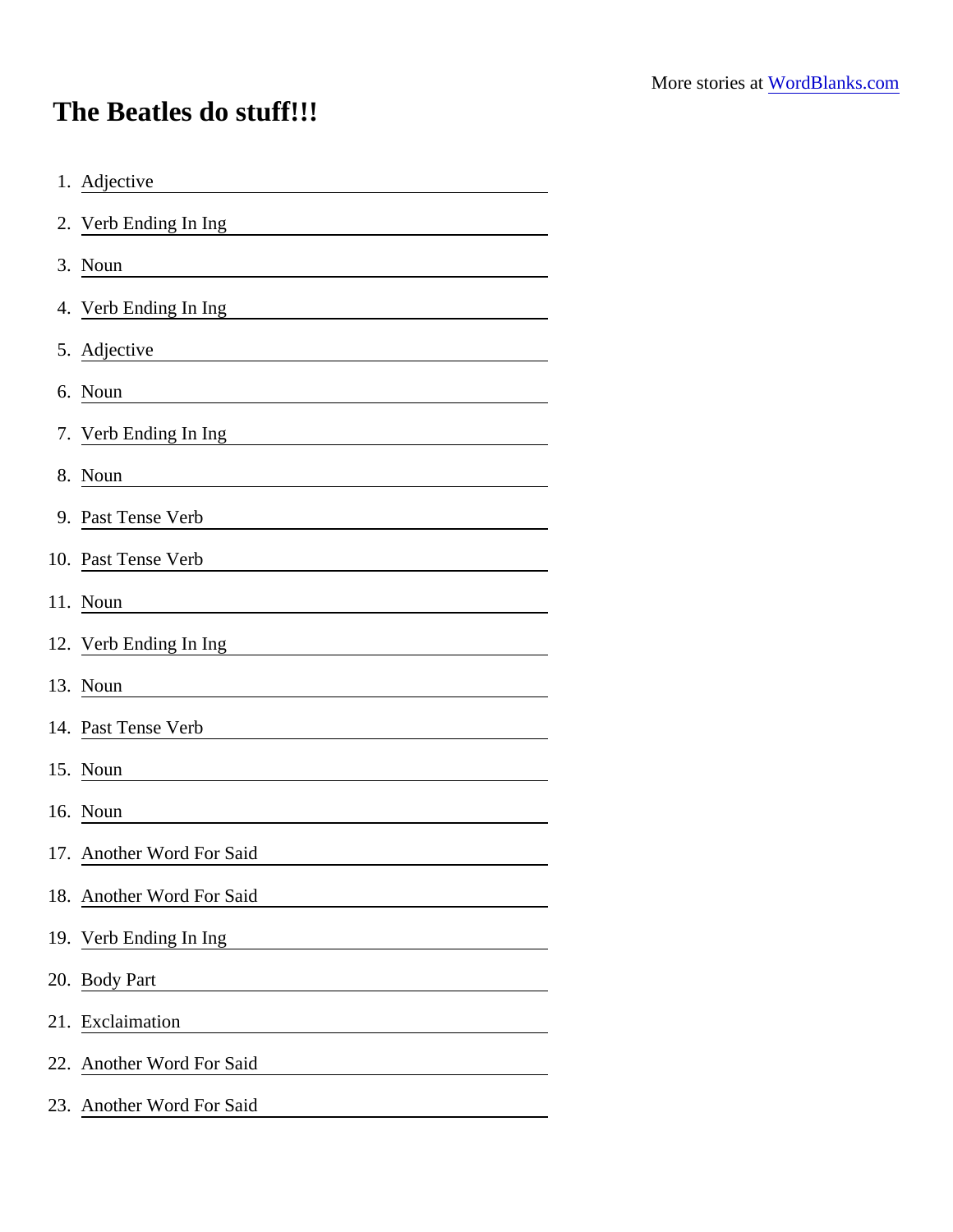## The Beatles do stuff!!!

| 1. Adjective                                                                          |
|---------------------------------------------------------------------------------------|
| 2. Verb Ending In Ing                                                                 |
| 3. Noun<br><u> 1980 - Andrea Andrew Maria (h. 1980).</u>                              |
| 4. Verb Ending In Ing                                                                 |
| 5. Adjective                                                                          |
| 6. Noun<br><u> 1989 - Johann Stein, mars an t-Amerikaansk kommunister (</u>           |
| 7. Verb Ending In Ing<br><u> 1989 - Johann Barbara, martxa eta idazlea (h. 1989).</u> |
| 8. Noun                                                                               |
| 9. Past Tense Verb                                                                    |
| 10. Past Tense Verb                                                                   |
| 11. Noun                                                                              |
| 12. Verb Ending In Ing                                                                |
| 13. Noun                                                                              |
| 14. Past Tense Verb                                                                   |
| 15. Noun                                                                              |
| 16. Noun                                                                              |
| 17. Another Word For Said                                                             |
| 18. Another Word For Said                                                             |
| 19. Verb Ending In Ing                                                                |
| 20. Body Part<br><u> Alexandria de la contrada de la con</u>                          |
| 21. Exclaimation                                                                      |
| 22. Another Word For Said                                                             |
| 23. Another Word For Said                                                             |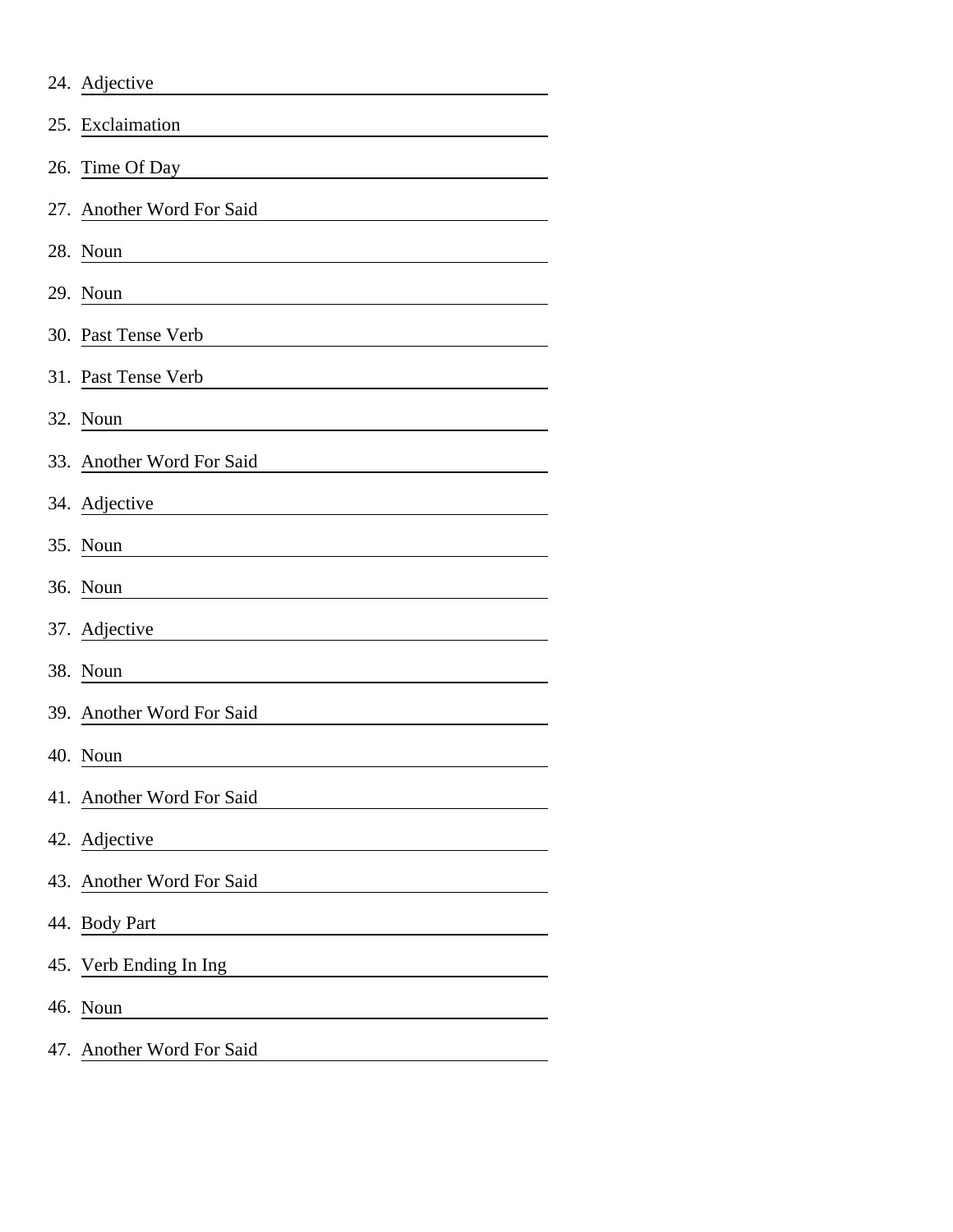|     | 24. Adjective             |
|-----|---------------------------|
|     | 25. Exclaimation          |
| 26. | Time Of Day               |
|     | 27. Another Word For Said |
|     | 28. Noun                  |
|     | 29. Noun                  |
|     | 30. Past Tense Verb       |
|     | 31. Past Tense Verb       |
|     | 32. Noun                  |
|     | 33. Another Word For Said |
|     | 34. Adjective             |
|     | 35. Noun                  |
|     | 36. Noun                  |
|     | 37. Adjective             |
|     | 38. Noun                  |
|     | 39. Another Word For Said |
|     | 40. Noun                  |
|     | 41. Another Word For Said |
|     | 42. Adjective             |
|     | 43. Another Word For Said |
|     | 44. Body Part             |
|     | 45. Verb Ending In Ing    |
|     | 46. Noun                  |
|     | 47. Another Word For Said |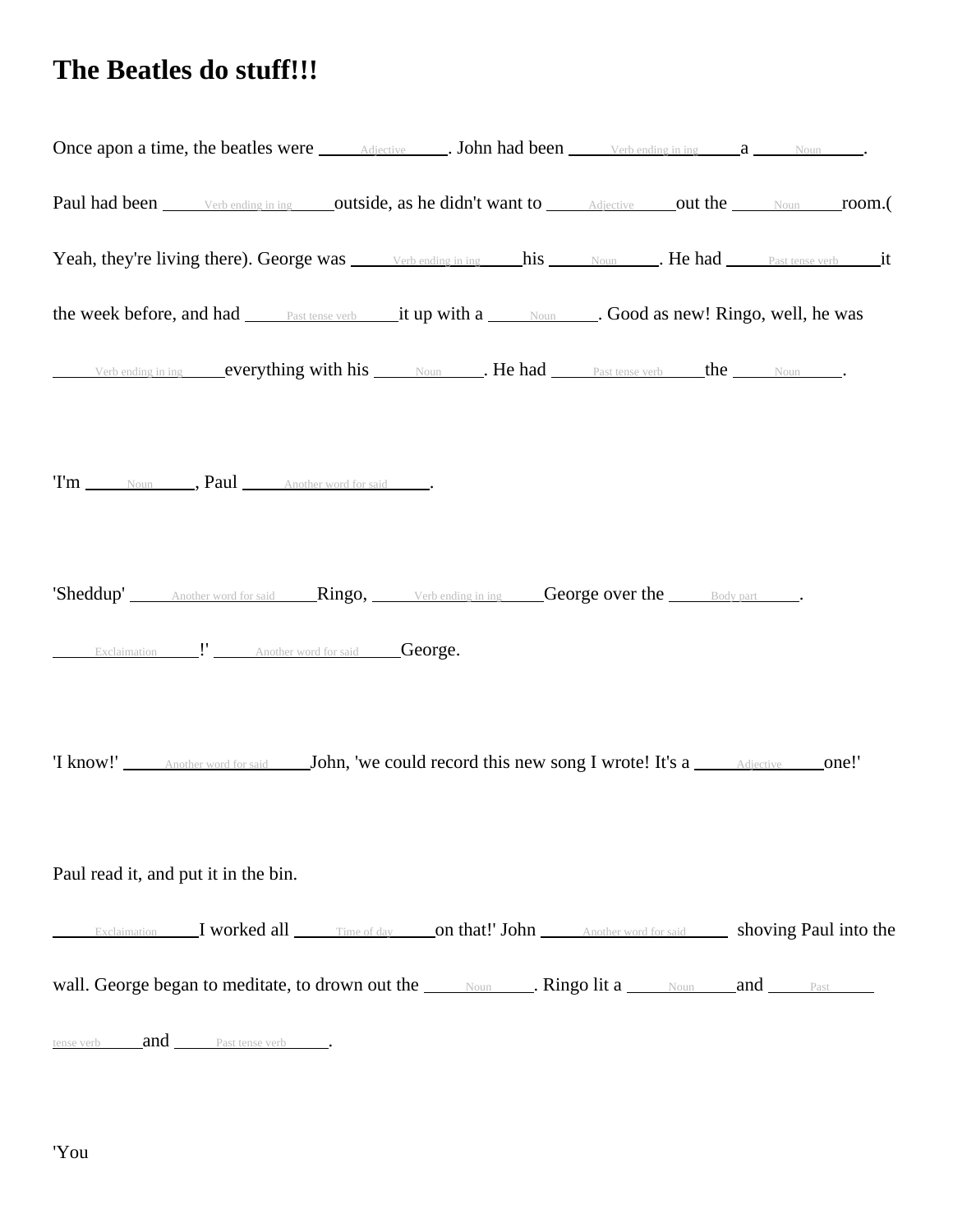## **The Beatles do stuff!!!**

| Once apon a time, the beatles were <u>Adjective</u> . John had been <u>Verbending in ing</u> a Noun Noun                            |
|-------------------------------------------------------------------------------------------------------------------------------------|
| Paul had been <u>verbending in ing</u> outside, as he didn't want to Adjective out the Noun room.                                   |
| Yeah, they're living there). George was verbending in ing his Noun . He had hast tense verb it                                      |
| the week before, and had <b>Exact tense verb</b> it up with a <u>Noum</u> Cood as new! Ringo, well, he was                          |
| Verb ending in ing everything with his Noun . He had Past tense verb the Noun .                                                     |
| Tm Noun , Paul Another word for said                                                                                                |
| 'Sheddup' Another word for said Ringo, Verb ending in ing George over the Body part<br>Exclaimation " Another word for said George. |
| T know!' Another word for said John, 'we could record this new song I wrote! It's a Adjective one!'                                 |
| Paul read it, and put it in the bin.                                                                                                |
| Exclaimation I worked all Time of day on that!' John Another word for said shoving Paul into the                                    |
| wall. George began to meditate, to drown out the Noun Noun Ringo lit a Noun and Past                                                |
| <u>tense verb and Past tense verb</u> .                                                                                             |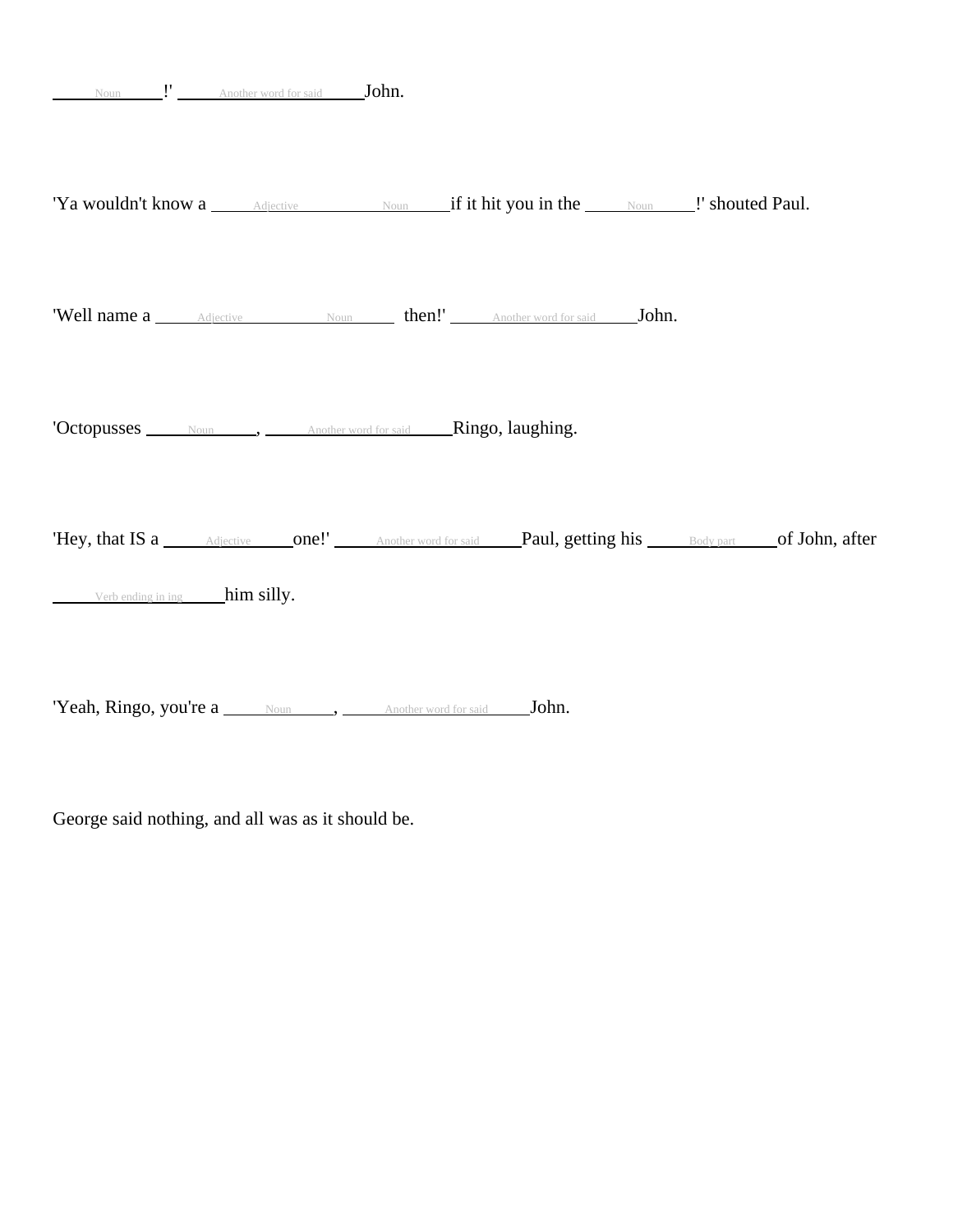| 'Hey, that IS a Adjective one!' Another word for said Paul, getting his Body part of John, after |
|--------------------------------------------------------------------------------------------------|
|                                                                                                  |

'Yeah, Ringo, you're a Noun , Another word for said John.

George said nothing, and all was as it should be.